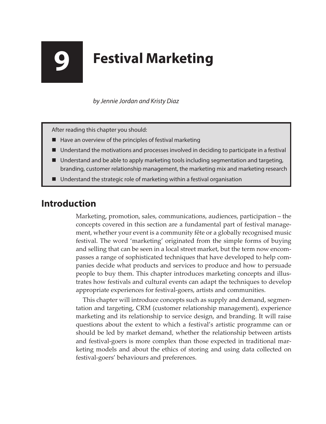## **9 Festival Marketing**

*by Jennie Jordan and Kristy Diaz*

After reading this chapter you should:

- $\blacksquare$  Have an overview of the principles of festival marketing
- Understand the motivations and processes involved in deciding to participate in a festival
- Understand and be able to apply marketing tools including segmentation and targeting, branding, customer relationship management, the marketing mix and marketing research
- Understand the strategic role of marketing within a festival organisation

## **Introduction**

Marketing, promotion, sales, communications, audiences, participation – the concepts covered in this section are a fundamental part of festival management, whether your event is a community fête or a globally recognised music festival. The word 'marketing' originated from the simple forms of buying and selling that can be seen in a local street market, but the term now encompasses a range of sophisticated techniques that have developed to help companies decide what products and services to produce and how to persuade people to buy them. This chapter introduces marketing concepts and illustrates how festivals and cultural events can adapt the techniques to develop appropriate experiences for festival-goers, artists and communities.

This chapter will introduce concepts such as supply and demand, segmentation and targeting, CRM (customer relationship management), experience marketing and its relationship to service design, and branding. It will raise questions about the extent to which a festival's artistic programme can or should be led by market demand, whether the relationship between artists and festival-goers is more complex than those expected in traditional marketing models and about the ethics of storing and using data collected on festival-goers' behaviours and preferences.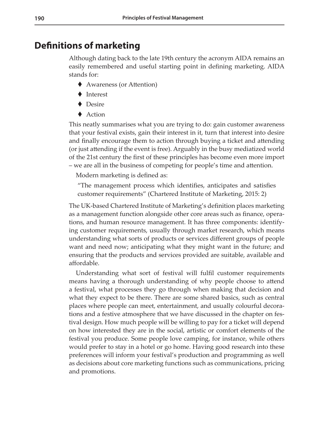## **Definitions of marketing**

Although dating back to the late 19th century the acronym AIDA remains an easily remembered and useful starting point in defining marketing. AIDA stands for:

- ◆ Awareness (or Attention)
- ◆ Interest
- ◆ Desire
- $\triangle$  Action

This neatly summarises what you are trying to do: gain customer awareness that your festival exists, gain their interest in it, turn that interest into desire and finally encourage them to action through buying a ticket and attending (or just attending if the event is free). Arguably in the busy mediatized world of the 21st century the first of these principles has become even more import – we are all in the business of competing for people's time and attention.

Modern marketing is defined as:

"The management process which identifies, anticipates and satisfies customer requirements" (Chartered Institute of Marketing, 2015: 2)

The UK-based Chartered Institute of Marketing's definition places marketing as a management function alongside other core areas such as finance, operations, and human resource management. It has three components: identifying customer requirements, usually through market research, which means understanding what sorts of products or services different groups of people want and need now; anticipating what they might want in the future; and ensuring that the products and services provided are suitable, available and affordable.

Understanding what sort of festival will fulfil customer requirements means having a thorough understanding of why people choose to attend a festival, what processes they go through when making that decision and what they expect to be there. There are some shared basics, such as central places where people can meet, entertainment, and usually colourful decorations and a festive atmosphere that we have discussed in the chapter on festival design. How much people will be willing to pay for a ticket will depend on how interested they are in the social, artistic or comfort elements of the festival you produce. Some people love camping, for instance, while others would prefer to stay in a hotel or go home. Having good research into these preferences will inform your festival's production and programming as well as decisions about core marketing functions such as communications, pricing and promotions.